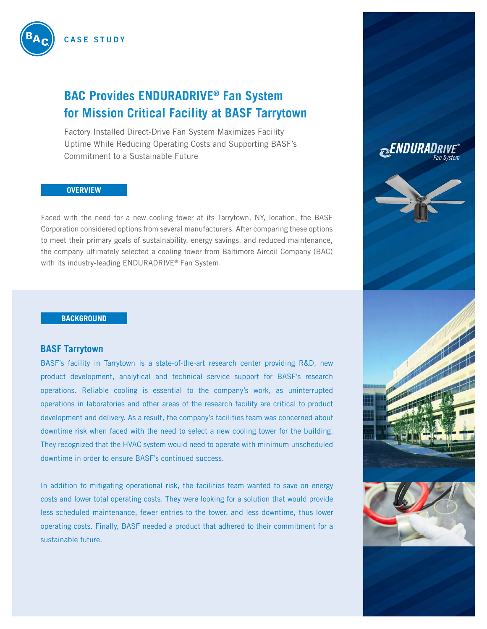

# **BAC Provides ENDURADRIVE® Fan System for Mission Critical Facility at BASF Tarrytown**

Factory Installed Direct-Drive Fan System Maximizes Facility Uptime While Reducing Operating Costs and Supporting BASF's Commitment to a Sustainable Future

#### **OVERVIEW**

Faced with the need for a new cooling tower at its Tarrytown, NY, location, the BASF Corporation considered options from several manufacturers. After comparing these options to meet their primary goals of sustainability, energy savings, and reduced maintenance, the company ultimately selected a cooling tower from Baltimore Aircoil Company (BAC) with its industry-leading ENDURADRIVE® Fan System.

#### **BACKGROUND**

#### **BASF Tarrytown**

BASF's facility in Tarrytown is a state-of-the-art research center providing R&D, new product development, analytical and technical service support for BASF's research operations. Reliable cooling is essential to the company's work, as uninterrupted operations in laboratories and other areas of the research facility are critical to product development and delivery. As a result, the company's facilities team was concerned about downtime risk when faced with the need to select a new cooling tower for the building. They recognized that the HVAC system would need to operate with minimum unscheduled downtime in order to ensure BASF's continued success.

In addition to mitigating operational risk, the facilities team wanted to save on energy costs and lower total operating costs. They were looking for a solution that would provide less scheduled maintenance, fewer entries to the tower, and less downtime, thus lower operating costs. Finally, BASF needed a product that adhered to their commitment for a sustainable future.

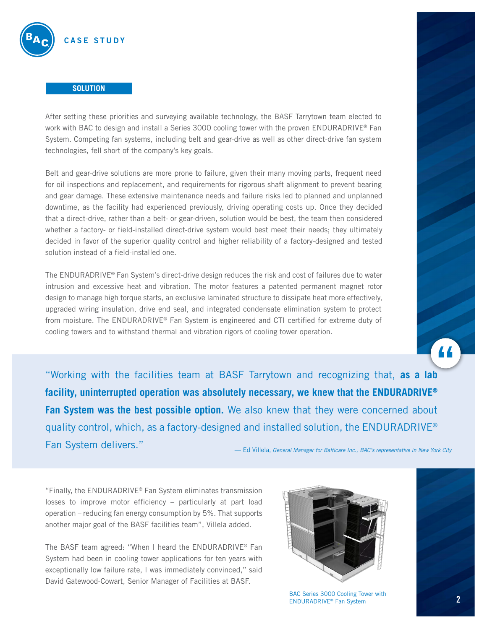

#### **SOLUTION**

After setting these priorities and surveying available technology, the BASF Tarrytown team elected to work with BAC to design and install a Series 3000 cooling tower with the proven ENDURADRIVE® Fan System. Competing fan systems, including belt and gear-drive as well as other direct-drive fan system technologies, fell short of the company's key goals.

Belt and gear-drive solutions are more prone to failure, given their many moving parts, frequent need for oil inspections and replacement, and requirements for rigorous shaft alignment to prevent bearing and gear damage. These extensive maintenance needs and failure risks led to planned and unplanned downtime, as the facility had experienced previously, driving operating costs up. Once they decided that a direct-drive, rather than a belt- or gear-driven, solution would be best, the team then considered whether a factory- or field-installed direct-drive system would best meet their needs; they ultimately decided in favor of the superior quality control and higher reliability of a factory-designed and tested solution instead of a field-installed one.

The ENDURADRIVE® Fan System's direct-drive design reduces the risk and cost of failures due to water intrusion and excessive heat and vibration. The motor features a patented permanent magnet rotor design to manage high torque starts, an exclusive laminated structure to dissipate heat more effectively, upgraded wiring insulation, drive end seal, and integrated condensate elimination system to protect from moisture. The ENDURADRIVE® Fan System is engineered and CTI certified for extreme duty of cooling towers and to withstand thermal and vibration rigors of cooling tower operation.

"Working with the facilities team at BASF Tarrytown and recognizing that, **as a lab facility, uninterrupted operation was absolutely necessary, we knew that the ENDURADRIVE® Fan System was the best possible option.** We also knew that they were concerned about quality control, which, as a factory-designed and installed solution, the ENDURADRIVE® Fan System delivers." — Ed Villela, *General Manager for Balticare Inc., BAC's representative in New York City* 

"Finally, the ENDURADRIVE® Fan System eliminates transmission losses to improve motor efficiency – particularly at part load operation – reducing fan energy consumption by 5%. That supports another major goal of the BASF facilities team", Villela added.

The BASF team agreed: "When I heard the ENDURADRIVE® Fan System had been in cooling tower applications for ten years with exceptionally low failure rate, I was immediately convinced," said David Gatewood-Cowart, Senior Manager of Facilities at BASF.



BAC Series 3000 Cooling Tower with ENDURADRIVE® Fan System



"